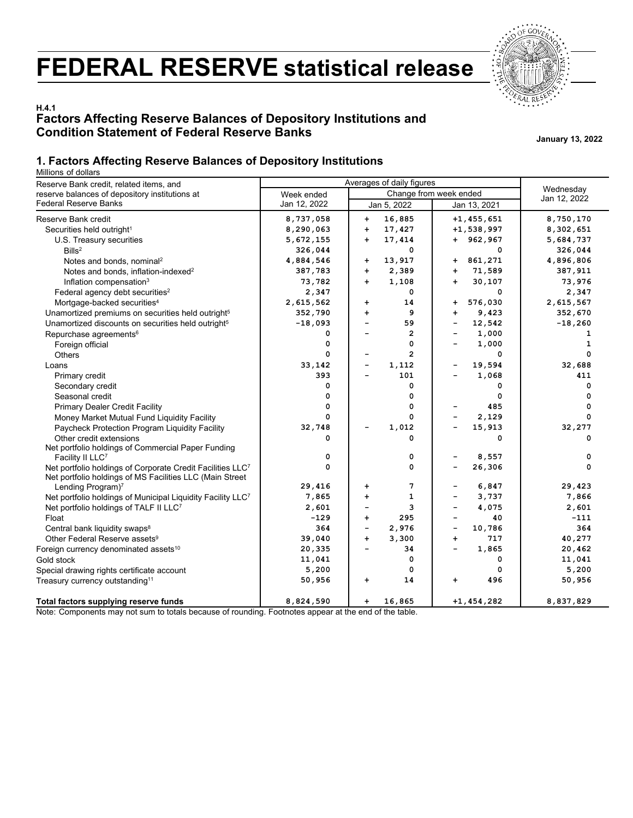# **FEDERAL RESERVE statistical release**



## **H.4.1 Factors Affecting Reserve Balances of Depository Institutions and Condition Statement of Federal Reserve Banks January 13, 2022**

#### **1. Factors Affecting Reserve Balances of Depository Institutions**

Millions of dollars

| Reserve Bank credit, related items, and                                                                                | Averages of daily figures |                                   |                                    |              |  |
|------------------------------------------------------------------------------------------------------------------------|---------------------------|-----------------------------------|------------------------------------|--------------|--|
| reserve balances of depository institutions at                                                                         | Week ended                | Change from week ended            | Wednesday                          |              |  |
| <b>Federal Reserve Banks</b>                                                                                           | Jan 12, 2022              | Jan 5, 2022                       | Jan 13, 2021                       | Jan 12, 2022 |  |
| Reserve Bank credit                                                                                                    | 8,737,058                 | 16,885<br>$+$                     | $+1, 455, 651$                     | 8,750,170    |  |
| Securities held outright <sup>1</sup>                                                                                  | 8,290,063                 | 17,427<br>$\ddot{}$               | $+1,538,997$                       | 8,302,651    |  |
| U.S. Treasury securities                                                                                               | 5,672,155                 | 17,414<br>$\ddot{}$               | + 962,967                          | 5,684,737    |  |
| Bills <sup>2</sup>                                                                                                     | 326,044                   | 0                                 | 0                                  | 326,044      |  |
| Notes and bonds, nominal <sup>2</sup>                                                                                  | 4,884,546                 | 13,917<br>+                       | 861,271<br>+                       | 4,896,806    |  |
| Notes and bonds, inflation-indexed <sup>2</sup>                                                                        | 387,783                   | 2,389<br>$+$                      | 71,589<br>$+$                      | 387,911      |  |
| Inflation compensation <sup>3</sup>                                                                                    | 73,782                    | 1,108<br>$\ddot{\phantom{1}}$     | 30,107<br>$\ddot{\phantom{1}}$     | 73,976       |  |
| Federal agency debt securities <sup>2</sup>                                                                            | 2,347                     | 0                                 | 0                                  | 2,347        |  |
| Mortgage-backed securities <sup>4</sup>                                                                                | 2,615,562                 | 14<br>$\ddot{}$                   | 576,030<br>$\ddot{}$               | 2,615,567    |  |
| Unamortized premiums on securities held outright <sup>5</sup>                                                          | 352,790                   | 9<br>$\ddot{\phantom{1}}$         | 9,423<br>$\ddot{\phantom{1}}$      | 352,670      |  |
| Unamortized discounts on securities held outright <sup>5</sup>                                                         | $-18,093$                 | 59<br>$\overline{\phantom{0}}$    | 12,542<br>$\overline{\phantom{0}}$ | $-18,260$    |  |
| Repurchase agreements <sup>6</sup>                                                                                     | 0                         | 2<br>$\overline{\phantom{0}}$     | 1,000<br>$\overline{\phantom{0}}$  | 1            |  |
| Foreign official                                                                                                       | 0                         | 0                                 | 1,000                              | 1            |  |
| Others                                                                                                                 | $\mathbf 0$               | $\overline{2}$<br>-               | 0                                  | $\mathbf 0$  |  |
| Loans                                                                                                                  | 33,142                    | 1,112<br>$\overline{\phantom{0}}$ | 19,594<br>-                        | 32,688       |  |
| Primary credit                                                                                                         | 393                       | 101                               | 1,068                              | 411          |  |
| Secondary credit                                                                                                       | 0                         | 0                                 | 0                                  | 0            |  |
| Seasonal credit                                                                                                        | 0                         | $\Omega$                          | 0                                  | 0            |  |
| <b>Primary Dealer Credit Facility</b>                                                                                  | $\mathbf 0$               | 0                                 | 485                                | $\mathbf 0$  |  |
| Money Market Mutual Fund Liquidity Facility                                                                            | 0                         | 0                                 | 2,129                              | 0            |  |
| Paycheck Protection Program Liquidity Facility                                                                         | 32,748                    | 1,012                             | 15,913                             | 32,277       |  |
| Other credit extensions                                                                                                | 0                         | 0                                 | 0                                  | 0            |  |
| Net portfolio holdings of Commercial Paper Funding                                                                     |                           |                                   |                                    |              |  |
| Facility II LLC7                                                                                                       | 0                         | 0                                 | 8,557                              | 0            |  |
| Net portfolio holdings of Corporate Credit Facilities LLC7<br>Net portfolio holdings of MS Facilities LLC (Main Street | 0                         | 0                                 | 26,306                             | 0            |  |
| Lending Program) <sup>7</sup>                                                                                          | 29,416                    | 7<br>$\ddot{}$                    | 6,847                              | 29,423       |  |
| Net portfolio holdings of Municipal Liquidity Facility LLC7                                                            | 7,865                     | 1<br>$\ddot{}$                    | 3,737                              | 7,866        |  |
| Net portfolio holdings of TALF II LLC7                                                                                 | 2,601                     | 3<br>$\overline{\phantom{0}}$     | 4,075                              | 2,601        |  |
| Float                                                                                                                  | $-129$                    | ٠<br>295                          | 40<br>-                            | $-111$       |  |
| Central bank liquidity swaps <sup>8</sup>                                                                              | 364                       | 2,976<br>-                        | 10,786<br>$\overline{\phantom{0}}$ | 364          |  |
| Other Federal Reserve assets <sup>9</sup>                                                                              | 39,040                    | 3,300<br>$\ddot{}$                | 717<br>$\ddot{}$                   | 40,277       |  |
| Foreign currency denominated assets <sup>10</sup>                                                                      | 20,335                    | 34                                | 1,865                              | 20,462       |  |
| Gold stock                                                                                                             | 11,041                    | 0                                 | 0                                  | 11,041       |  |
| Special drawing rights certificate account                                                                             | 5,200                     | 0                                 | 0                                  | 5,200        |  |
| Treasury currency outstanding <sup>11</sup>                                                                            | 50,956                    | 14<br>$\ddot{}$                   | 496<br>$\ddot{\phantom{1}}$        | 50,956       |  |
| Total factors supplying reserve funds                                                                                  | 8,824,590                 | 16,865<br>$\ddot{\phantom{1}}$    | +1,454,282                         | 8,837,829    |  |

Note: Components may not sum to totals because of rounding. Footnotes appear at the end of the table.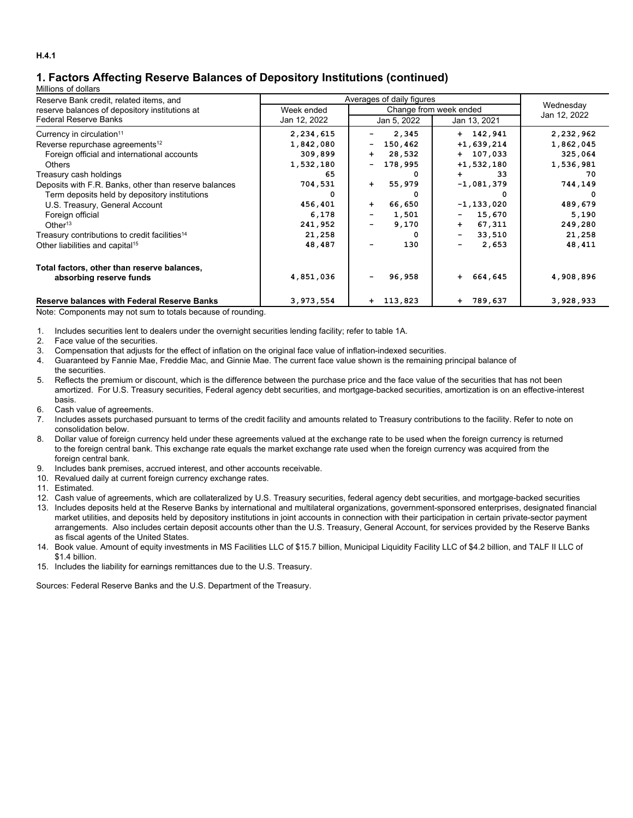# **1. Factors Affecting Reserve Balances of Depository Institutions (continued)**

#### Millions of dollars

| Reserve Bank credit, related items, and                   | Averages of daily figures |                                   |                                    |              |
|-----------------------------------------------------------|---------------------------|-----------------------------------|------------------------------------|--------------|
| reserve balances of depository institutions at            | Week ended                | Change from week ended            | Wednesday                          |              |
| Federal Reserve Banks                                     | Jan 12, 2022              | Jan 5, 2022                       | Jan 13, 2021                       | Jan 12, 2022 |
| Currency in circulation <sup>11</sup>                     | 2,234,615                 | 2,345                             | $+ 142,941$                        | 2,232,962    |
| Reverse repurchase agreements <sup>12</sup>               | 1,842,080                 | 150,462<br>Ξ.                     | $+1,639,214$                       | 1,862,045    |
| Foreign official and international accounts               | 309,899                   | 28,532<br>$+$                     | $+ 107,033$                        | 325,064      |
| <b>Others</b>                                             | 1,532,180                 | 178,995                           | $+1,532,180$                       | 1,536,981    |
| Treasury cash holdings                                    | 65                        | 0                                 | 33<br>$+$                          | 70           |
| Deposits with F.R. Banks, other than reserve balances     | 704,531                   | 55,979<br>$+$                     | $-1,081,379$                       | 744,149      |
| Term deposits held by depository institutions             | 0                         |                                   |                                    |              |
| U.S. Treasury, General Account                            | 456,401                   | 66,650<br>$\ddot{}$               | $-1, 133, 020$                     | 489,679      |
| Foreign official                                          | 6,178                     | 1,501<br>$\overline{\phantom{a}}$ | 15,670<br>н.                       | 5,190        |
| Other <sup>13</sup>                                       | 241,952                   | 9,170                             | 67,311<br>$+$                      | 249,280      |
| Treasury contributions to credit facilities <sup>14</sup> | 21,258                    |                                   | 33,510<br>$\overline{\phantom{a}}$ | 21,258       |
| Other liabilities and capital <sup>15</sup>               | 48,487                    | 130                               | 2,653<br>Ξ.                        | 48,411       |
| Total factors, other than reserve balances,               |                           |                                   |                                    |              |
| absorbing reserve funds                                   | 4,851,036                 | 96,958                            | $+ 664, 645$                       | 4,908,896    |
| <b>Reserve balances with Federal Reserve Banks</b>        | 3,973,554                 | $+ 113,823$                       | $+ 789,637$                        | 3,928,933    |

Note: Components may not sum to totals because of rounding.

1. Includes securities lent to dealers under the overnight securities lending facility; refer to table 1A.

2. Face value of the securities.

3. Compensation that adjusts for the effect of inflation on the original face value of inflation-indexed securities.

4. Guaranteed by Fannie Mae, Freddie Mac, and Ginnie Mae. The current face value shown is the remaining principal balance of the securities.

5. Reflects the premium or discount, which is the difference between the purchase price and the face value of the securities that has not been amortized. For U.S. Treasury securities, Federal agency debt securities, and mortgage-backed securities, amortization is on an effective-interest basis.

- 6. Cash value of agreements.
- 7. Includes assets purchased pursuant to terms of the credit facility and amounts related to Treasury contributions to the facility. Refer to note on consolidation below.
- 8. Dollar value of foreign currency held under these agreements valued at the exchange rate to be used when the foreign currency is returned to the foreign central bank. This exchange rate equals the market exchange rate used when the foreign currency was acquired from the foreign central bank.
- 9. Includes bank premises, accrued interest, and other accounts receivable.
- 10. Revalued daily at current foreign currency exchange rates.
- 11. Estimated.

12. Cash value of agreements, which are collateralized by U.S. Treasury securities, federal agency debt securities, and mortgage-backed securities

- 13. Includes deposits held at the Reserve Banks by international and multilateral organizations, government-sponsored enterprises, designated financial market utilities, and deposits held by depository institutions in joint accounts in connection with their participation in certain private-sector payment arrangements. Also includes certain deposit accounts other than the U.S. Treasury, General Account, for services provided by the Reserve Banks as fiscal agents of the United States.
- 14. Book value. Amount of equity investments in MS Facilities LLC of \$15.7 billion, Municipal Liquidity Facility LLC of \$4.2 billion, and TALF II LLC of \$1.4 billion.
- 15. Includes the liability for earnings remittances due to the U.S. Treasury.

Sources: Federal Reserve Banks and the U.S. Department of the Treasury.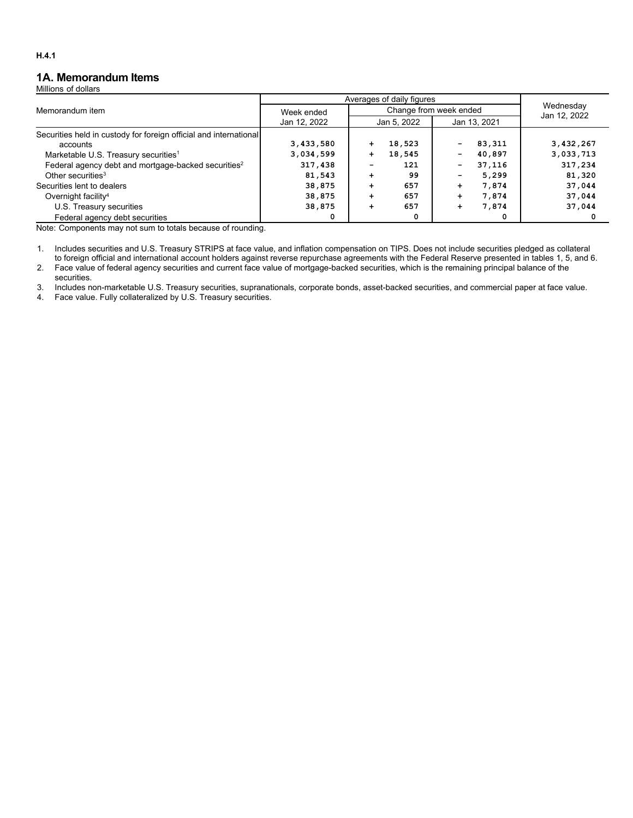#### **1A. Memorandum Items**

Millions of dollars

|                                                                   | Averages of daily figures | Wednesday           |                                    |              |  |  |  |  |
|-------------------------------------------------------------------|---------------------------|---------------------|------------------------------------|--------------|--|--|--|--|
| Memorandum item                                                   | Week ended                |                     | Change from week ended             |              |  |  |  |  |
|                                                                   | Jan 12, 2022              | Jan 5, 2022         | Jan 13, 2021                       | Jan 12, 2022 |  |  |  |  |
| Securities held in custody for foreign official and international |                           |                     |                                    |              |  |  |  |  |
| accounts                                                          | 3,433,580                 | 18,523<br>÷         | 83,311                             | 3,432,267    |  |  |  |  |
| Marketable U.S. Treasury securities <sup>1</sup>                  | 3,034,599                 | 18,545<br>$\ddot{}$ | 40,897<br>$\overline{\phantom{0}}$ | 3,033,713    |  |  |  |  |
| Federal agency debt and mortgage-backed securities <sup>2</sup>   | 317,438                   | 121                 | 37,116<br>$\overline{\phantom{0}}$ | 317,234      |  |  |  |  |
| Other securities <sup>3</sup>                                     | 81,543                    | 99                  | 5,299                              | 81,320       |  |  |  |  |
| Securities lent to dealers                                        | 38,875                    | 657                 | 7.874                              | 37,044       |  |  |  |  |
| Overnight facility <sup>4</sup>                                   | 38,875                    | 657                 | 7.874                              | 37,044       |  |  |  |  |
| U.S. Treasury securities                                          | 38,875                    | 657                 | 7.874                              | 37,044       |  |  |  |  |
| Federal agency debt securities                                    | 0                         |                     | 0<br>0                             |              |  |  |  |  |

Note: Components may not sum to totals because of rounding.

1. Includes securities and U.S. Treasury STRIPS at face value, and inflation compensation on TIPS. Does not include securities pledged as collateral to foreign official and international account holders against reverse repurchase agreements with the Federal Reserve presented in tables 1, 5, and 6.

2. Face value of federal agency securities and current face value of mortgage-backed securities, which is the remaining principal balance of the securities.

3. Includes non-marketable U.S. Treasury securities, supranationals, corporate bonds, asset-backed securities, and commercial paper at face value.

4. Face value. Fully collateralized by U.S. Treasury securities.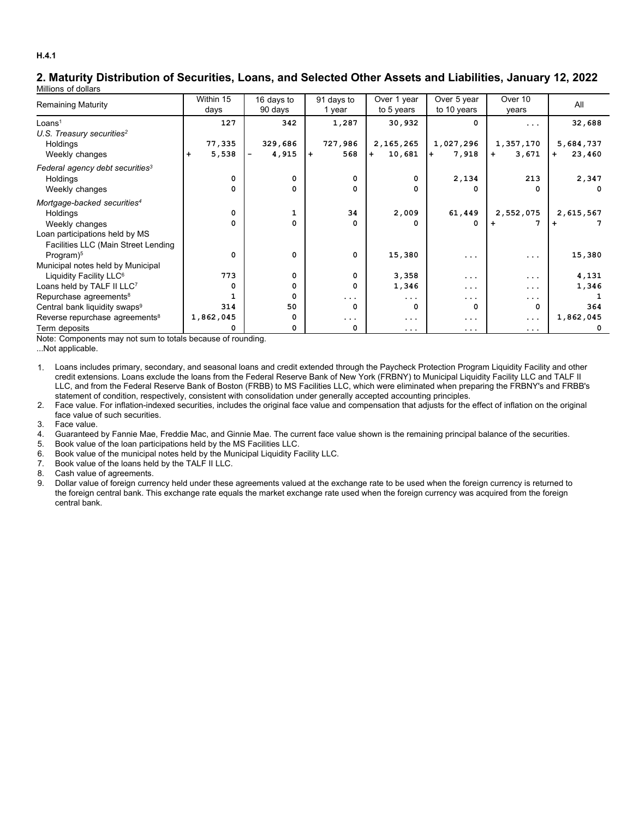#### **2. Maturity Distribution of Securities, Loans, and Selected Other Assets and Liabilities, January 12, 2022** Millions of dollars

|                                             | Within 15       | 16 days to   | 91 days to | Over 1 year   | Over 5 year  | Over 10      | All           |
|---------------------------------------------|-----------------|--------------|------------|---------------|--------------|--------------|---------------|
| <b>Remaining Maturity</b>                   | days            | 90 days      | 1 year     | to 5 years    | to 10 years  | years        |               |
| Loans <sup>1</sup>                          | 127             | 342          | 1,287      | 30,932        | $\Omega$     | .            | 32,688        |
| U.S. Treasury securities <sup>2</sup>       |                 |              |            |               |              |              |               |
| Holdings                                    | 77,335          | 329,686      | 727,986    | 2,165,265     | 1,027,296    | 1,357,170    | 5,684,737     |
| Weekly changes                              | 5,538<br>$\div$ | 4,915        | 568<br>$+$ | 10,681<br>$+$ | 7,918<br>$+$ | 3,671<br>$+$ | 23,460<br>$+$ |
| Federal agency debt securities <sup>3</sup> |                 |              |            |               |              |              |               |
| Holdings                                    | 0               | 0            | 0          | 0             | 2,134        | 213          | 2,347         |
| Weekly changes                              | 0               | 0            | 0          | 0             | 0            | 0            | 0             |
| Mortgage-backed securities <sup>4</sup>     |                 |              |            |               |              |              |               |
| Holdings                                    | 0               | 1            | 34         | 2,009         | 61,449       | 2,552,075    | 2,615,567     |
| Weekly changes                              | 0               | 0            | 0          | 0             | 0            | 7            |               |
| Loan participations held by MS              |                 |              |            |               |              |              |               |
| Facilities LLC (Main Street Lending         |                 |              |            |               |              |              |               |
| Program) <sup>5</sup>                       | 0               | 0            | 0          | 15,380        | $\cdots$     | .            | 15,380        |
| Municipal notes held by Municipal           |                 |              |            |               |              |              |               |
| Liquidity Facility LLC <sup>6</sup>         | 773             | 0            | $\Omega$   | 3,358         | .            | .            | 4,131         |
| Loans held by TALF II LLC7                  | 0               | 0            | 0          | 1,346         | .            | $\cdots$     | 1,346         |
| Repurchase agreements <sup>8</sup>          |                 | <sup>0</sup> | $\cdots$   | $\cdots$      | $\cdots$     | .            |               |
| Central bank liquidity swaps <sup>9</sup>   | 314             | 50           | $\Omega$   | $\Omega$      | 0            | 0            | 364           |
| Reverse repurchase agreements <sup>8</sup>  | 1,862,045       |              | $\ddotsc$  | .             | $\cdots$     | .            | 1,862,045     |
| Term deposits                               |                 | 0            | 0          | .             | $\cdots$     | .            |               |

Note: Components may not sum to totals because of rounding.

...Not applicable.

1. Loans includes primary, secondary, and seasonal loans and credit extended through the Paycheck Protection Program Liquidity Facility and other credit extensions. Loans exclude the loans from the Federal Reserve Bank of New York (FRBNY) to Municipal Liquidity Facility LLC and TALF II LLC, and from the Federal Reserve Bank of Boston (FRBB) to MS Facilities LLC, which were eliminated when preparing the FRBNY's and FRBB's statement of condition, respectively, consistent with consolidation under generally accepted accounting principles.

2. Face value. For inflation-indexed securities, includes the original face value and compensation that adjusts for the effect of inflation on the original face value of such securities.

3. Face value.

- 4. Guaranteed by Fannie Mae, Freddie Mac, and Ginnie Mae. The current face value shown is the remaining principal balance of the securities.
- 5. Book value of the loan participations held by the MS Facilities LLC.
- 6. Book value of the municipal notes held by the Municipal Liquidity Facility LLC.
- 7. Book value of the loans held by the TALF II LLC.

8. Cash value of agreements.

9. Dollar value of foreign currency held under these agreements valued at the exchange rate to be used when the foreign currency is returned to the foreign central bank. This exchange rate equals the market exchange rate used when the foreign currency was acquired from the foreign central bank.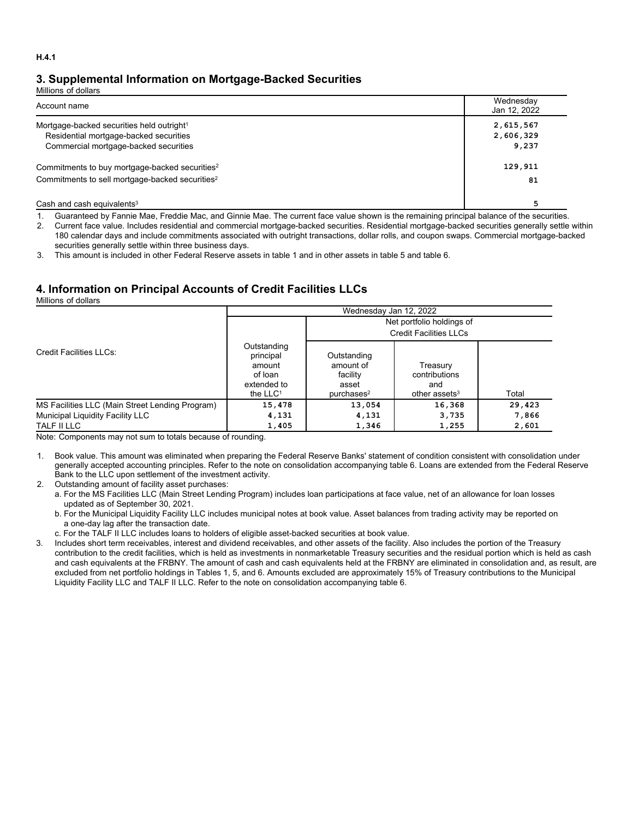## **3. Supplemental Information on Mortgage-Backed Securities**

Millions of dollars

| Account name                                                | Wednesday<br>Jan 12, 2022 |
|-------------------------------------------------------------|---------------------------|
| Mortgage-backed securities held outright <sup>1</sup>       | 2,615,567                 |
| Residential mortgage-backed securities                      | 2,606,329                 |
| Commercial mortgage-backed securities                       | 9,237                     |
| Commitments to buy mortgage-backed securities <sup>2</sup>  | 129,911                   |
| Commitments to sell mortgage-backed securities <sup>2</sup> | 81                        |
| Cash and cash equivalents $3$                               |                           |

1. Guaranteed by Fannie Mae, Freddie Mac, and Ginnie Mae. The current face value shown is the remaining principal balance of the securities.

2. Current face value. Includes residential and commercial mortgage-backed securities. Residential mortgage-backed securities generally settle within 180 calendar days and include commitments associated with outright transactions, dollar rolls, and coupon swaps. Commercial mortgage-backed securities generally settle within three business days.

3. This amount is included in other Federal Reserve assets in table 1 and in other assets in table 5 and table 6.

## **4. Information on Principal Accounts of Credit Facilities LLCs**

Millions of dollars

|                                                 | Wednesday Jan 12, 2022                                                     |                                                                            |                                                               |        |  |  |  |  |  |  |
|-------------------------------------------------|----------------------------------------------------------------------------|----------------------------------------------------------------------------|---------------------------------------------------------------|--------|--|--|--|--|--|--|
|                                                 |                                                                            | Net portfolio holdings of                                                  |                                                               |        |  |  |  |  |  |  |
|                                                 |                                                                            |                                                                            | <b>Credit Facilities LLCs</b>                                 |        |  |  |  |  |  |  |
| Credit Facilities LLCs:                         | Outstanding<br>principal<br>amount<br>of loan<br>extended to<br>the $LLC1$ | Outstanding<br>amount of<br>facility<br>asset<br>$pure$ hases <sup>2</sup> | Treasury<br>contributions<br>and<br>other assets <sup>3</sup> | Total  |  |  |  |  |  |  |
| MS Facilities LLC (Main Street Lending Program) | 15,478                                                                     | 13,054                                                                     | 16,368                                                        | 29,423 |  |  |  |  |  |  |
| Municipal Liquidity Facility LLC                | 4,131                                                                      | 4,131                                                                      | 3,735                                                         | 7,866  |  |  |  |  |  |  |
| TALF II LLC                                     | 1,405                                                                      | 1,346                                                                      | 1,255                                                         | 2,601  |  |  |  |  |  |  |

Note: Components may not sum to totals because of rounding.

1. Book value. This amount was eliminated when preparing the Federal Reserve Banks' statement of condition consistent with consolidation under generally accepted accounting principles. Refer to the note on consolidation accompanying table 6. Loans are extended from the Federal Reserve Bank to the LLC upon settlement of the investment activity.

2. Outstanding amount of facility asset purchases:

a. For the MS Facilities LLC (Main Street Lending Program) includes loan participations at face value, net of an allowance for loan losses updated as of September 30, 2021.

b. For the Municipal Liquidity Facility LLC includes municipal notes at book value. Asset balances from trading activity may be reported on a one-day lag after the transaction date.

c. For the TALF II LLC includes loans to holders of eligible asset-backed securities at book value.

3. Includes short term receivables, interest and dividend receivables, and other assets of the facility. Also includes the portion of the Treasury contribution to the credit facilities, which is held as investments in nonmarketable Treasury securities and the residual portion which is held as cash and cash equivalents at the FRBNY. The amount of cash and cash equivalents held at the FRBNY are eliminated in consolidation and, as result, are excluded from net portfolio holdings in Tables 1, 5, and 6. Amounts excluded are approximately 15% of Treasury contributions to the Municipal Liquidity Facility LLC and TALF II LLC. Refer to the note on consolidation accompanying table 6.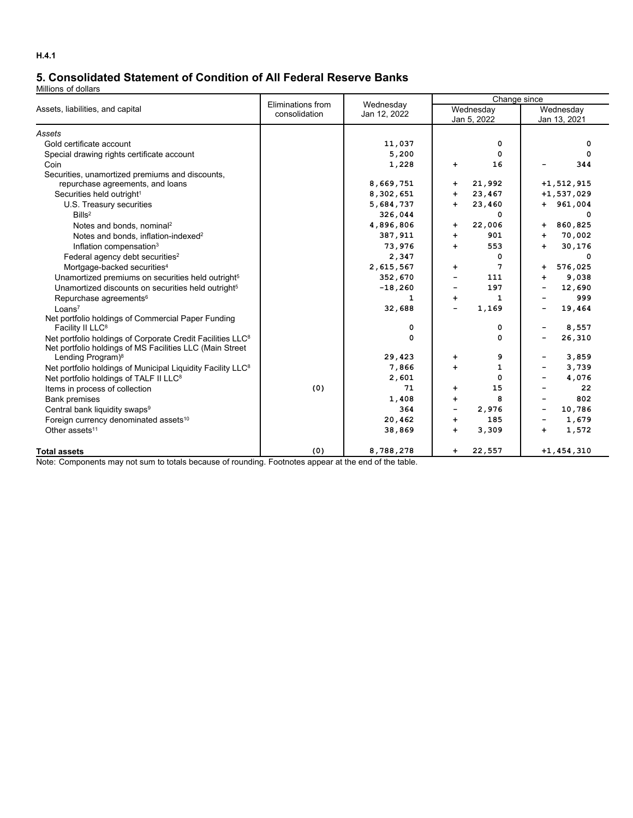# **5. Consolidated Statement of Condition of All Federal Reserve Banks**

Millions of dollars

|                                                                         | Eliminations from | Wednesday    | Change since             |                          |                              |                |  |  |
|-------------------------------------------------------------------------|-------------------|--------------|--------------------------|--------------------------|------------------------------|----------------|--|--|
| Assets, liabilities, and capital                                        | consolidation     | Jan 12, 2022 |                          | Wednesday<br>Jan 5, 2022 | Wednesday<br>Jan 13, 2021    |                |  |  |
| Assets                                                                  |                   |              |                          |                          |                              |                |  |  |
| Gold certificate account                                                |                   | 11,037       |                          | 0                        |                              | 0              |  |  |
| Special drawing rights certificate account                              |                   | 5,200        |                          | 0                        |                              | 0              |  |  |
| Coin                                                                    |                   | 1,228        | $\ddot{}$                | 16                       |                              | 344            |  |  |
| Securities, unamortized premiums and discounts,                         |                   |              |                          |                          |                              |                |  |  |
| repurchase agreements, and loans                                        |                   | 8,669,751    | +                        | 21,992                   |                              | $+1,512,915$   |  |  |
| Securities held outright <sup>1</sup>                                   |                   | 8,302,651    | $\ddot{}$                | 23,467                   |                              | $+1,537,029$   |  |  |
| U.S. Treasury securities                                                |                   | 5,684,737    | $\ddot{}$                | 23,460                   |                              | $+ 961,004$    |  |  |
| Bills <sup>2</sup>                                                      |                   | 326,044      |                          | 0                        |                              | 0              |  |  |
| Notes and bonds, nominal <sup>2</sup>                                   |                   | 4,896,806    | $\ddot{}$                | 22,006                   | $\ddot{}$                    | 860,825        |  |  |
| Notes and bonds, inflation-indexed <sup>2</sup>                         |                   | 387,911      | $+$                      | 901                      | $+$                          | 70,002         |  |  |
| Inflation compensation <sup>3</sup>                                     |                   | 73,976       | $+$                      | 553                      | $+$                          | 30,176         |  |  |
| Federal agency debt securities <sup>2</sup>                             |                   | 2,347        |                          | 0                        |                              | 0              |  |  |
| Mortgage-backed securities <sup>4</sup>                                 |                   | 2,615,567    | $\ddot{}$                | 7                        | $+$                          | 576,025        |  |  |
| Unamortized premiums on securities held outright <sup>5</sup>           |                   | 352,670      | $\overline{\phantom{0}}$ | 111                      | $+$                          | 9,038          |  |  |
| Unamortized discounts on securities held outright <sup>5</sup>          |                   | $-18,260$    |                          | 197                      |                              | 12,690         |  |  |
| Repurchase agreements <sup>6</sup>                                      |                   | 1            | $\ddot{}$                | 1                        |                              | 999            |  |  |
| Loans <sup>7</sup>                                                      |                   | 32,688       |                          | 1,169                    | $\overline{\phantom{a}}$     | 19,464         |  |  |
| Net portfolio holdings of Commercial Paper Funding                      |                   |              |                          |                          |                              |                |  |  |
| Facility II LLC <sup>8</sup>                                            |                   | 0            |                          | 0                        | $\overline{\phantom{a}}$     | 8,557          |  |  |
| Net portfolio holdings of Corporate Credit Facilities LLC <sup>8</sup>  |                   | 0            |                          | 0                        | -                            | 26,310         |  |  |
| Net portfolio holdings of MS Facilities LLC (Main Street                |                   |              |                          |                          |                              |                |  |  |
| Lending Program) <sup>8</sup>                                           |                   | 29,423       | +                        | 9                        |                              | 3,859          |  |  |
| Net portfolio holdings of Municipal Liquidity Facility LLC <sup>8</sup> |                   | 7,866        | $\ddot{}$                | 1                        |                              | 3,739          |  |  |
| Net portfolio holdings of TALF II LLC <sup>8</sup>                      |                   | 2,601        |                          | 0                        |                              | 4,076          |  |  |
| Items in process of collection                                          | (0)               | 71           | $+$                      | 15                       |                              | 22             |  |  |
| <b>Bank premises</b>                                                    |                   | 1,408        | $+$                      | 8                        |                              | 802            |  |  |
| Central bank liquidity swaps <sup>9</sup>                               |                   | 364          | $\overline{\phantom{a}}$ | 2,976                    | $\qquad \qquad \blacksquare$ | 10,786         |  |  |
| Foreign currency denominated assets <sup>10</sup>                       |                   | 20,462       | $\ddot{}$                | 185                      | -                            | 1,679          |  |  |
| Other assets <sup>11</sup>                                              |                   | 38,869       | $+$                      | 3,309                    | $+$                          | 1,572          |  |  |
| <b>Total assets</b>                                                     | (0)               | 8,788,278    | $\ddot{}$                | 22,557                   |                              | $+1, 454, 310$ |  |  |

Note: Components may not sum to totals because of rounding. Footnotes appear at the end of the table.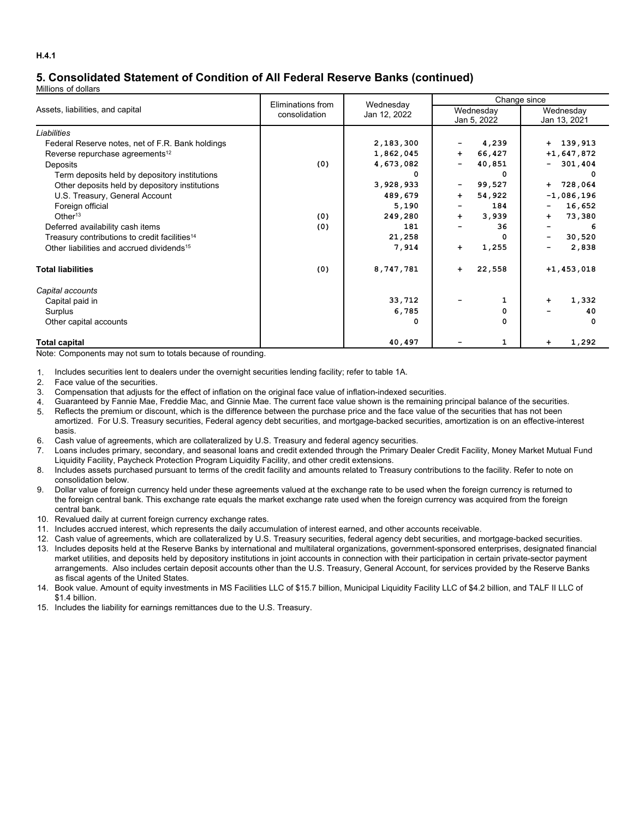# **5. Consolidated Statement of Condition of All Federal Reserve Banks (continued)**

Millions of dollars

|                                                           | Eliminations from | Wednesday    | Change since                  |                           |  |  |  |
|-----------------------------------------------------------|-------------------|--------------|-------------------------------|---------------------------|--|--|--|
| Assets, liabilities, and capital                          | consolidation     | Jan 12, 2022 | Wednesday<br>Jan 5, 2022      | Wednesday<br>Jan 13, 2021 |  |  |  |
| Liabilities                                               |                   |              |                               |                           |  |  |  |
| Federal Reserve notes, net of F.R. Bank holdings          |                   | 2,183,300    | 4,239                         | $+ 139,913$               |  |  |  |
| Reverse repurchase agreements <sup>12</sup>               |                   | 1,862,045    | 66,427<br>$\ddot{}$           | $+1,647,872$              |  |  |  |
| Deposits                                                  | (0)               | 4,673,082    | 40,851<br>-                   | 301,404                   |  |  |  |
| Term deposits held by depository institutions             |                   | n            | O.                            | 0                         |  |  |  |
| Other deposits held by depository institutions            |                   | 3,928,933    | 99,527<br>-                   | 728,064<br>$+$            |  |  |  |
| U.S. Treasury, General Account                            |                   | 489,679      | 54,922<br>$+$                 | $-1,086,196$              |  |  |  |
| Foreign official                                          |                   | 5,190        | 184<br>-                      | 16,652                    |  |  |  |
| Other <sup>13</sup>                                       | (0)               | 249,280      | 3,939<br>$\ddot{\phantom{1}}$ | 73,380<br>$+$             |  |  |  |
| Deferred availability cash items                          | (0)               | 181          | 36                            | 6                         |  |  |  |
| Treasury contributions to credit facilities <sup>14</sup> |                   | 21,258       | 0                             | 30,520                    |  |  |  |
| Other liabilities and accrued dividends <sup>15</sup>     |                   | 7,914        | 1,255<br>$\ddot{}$            | 2,838                     |  |  |  |
| <b>Total liabilities</b>                                  | (0)               | 8,747,781    | 22,558<br>÷                   | $+1, 453, 018$            |  |  |  |
| Capital accounts                                          |                   |              |                               |                           |  |  |  |
| Capital paid in                                           |                   | 33,712       | 1                             | 1,332<br>$\ddot{}$        |  |  |  |
| Surplus                                                   |                   | 6,785        | 0                             | 40                        |  |  |  |
| Other capital accounts                                    |                   | 0            | 0                             | 0                         |  |  |  |
| <b>Total capital</b>                                      |                   | 40,497       | 1                             | 1,292<br>$\ddot{}$        |  |  |  |

Note: Components may not sum to totals because of rounding.

1. Includes securities lent to dealers under the overnight securities lending facility; refer to table 1A.

- 2. Face value of the securities.
- 3. Compensation that adjusts for the effect of inflation on the original face value of inflation-indexed securities.
- 4. Guaranteed by Fannie Mae, Freddie Mac, and Ginnie Mae. The current face value shown is the remaining principal balance of the securities.
- 5. Reflects the premium or discount, which is the difference between the purchase price and the face value of the securities that has not been amortized. For U.S. Treasury securities, Federal agency debt securities, and mortgage-backed securities, amortization is on an effective-interest basis.
- 6. Cash value of agreements, which are collateralized by U.S. Treasury and federal agency securities.
- 7. Loans includes primary, secondary, and seasonal loans and credit extended through the Primary Dealer Credit Facility, Money Market Mutual Fund Liquidity Facility, Paycheck Protection Program Liquidity Facility, and other credit extensions.
- 8. Includes assets purchased pursuant to terms of the credit facility and amounts related to Treasury contributions to the facility. Refer to note on consolidation below.
- 9. Dollar value of foreign currency held under these agreements valued at the exchange rate to be used when the foreign currency is returned to the foreign central bank. This exchange rate equals the market exchange rate used when the foreign currency was acquired from the foreign central bank.
- 10. Revalued daily at current foreign currency exchange rates.
- 11. Includes accrued interest, which represents the daily accumulation of interest earned, and other accounts receivable.
- 12. Cash value of agreements, which are collateralized by U.S. Treasury securities, federal agency debt securities, and mortgage-backed securities.
- 13. Includes deposits held at the Reserve Banks by international and multilateral organizations, government-sponsored enterprises, designated financial market utilities, and deposits held by depository institutions in joint accounts in connection with their participation in certain private-sector payment arrangements. Also includes certain deposit accounts other than the U.S. Treasury, General Account, for services provided by the Reserve Banks as fiscal agents of the United States.
- 14. Book value. Amount of equity investments in MS Facilities LLC of \$15.7 billion, Municipal Liquidity Facility LLC of \$4.2 billion, and TALF II LLC of \$1.4 billion.
- 15. Includes the liability for earnings remittances due to the U.S. Treasury.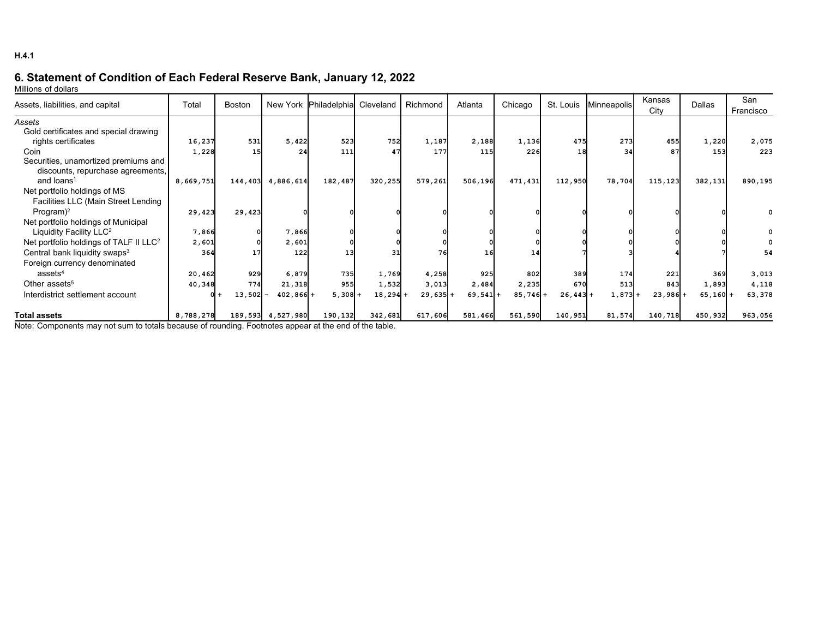## **6. Statement of Condition of Each Federal Reserve Bank, January 12, 2022**

Millions of dollars

| Assets, liabilities, and capital                   | Total     | <b>Boston</b> | New York    | Philadelphia Cleveland |            | Richmond   | Atlanta    | Chicago   | St. Louis  | Minneapolis | Kansas<br>City | Dallas     | San<br>Francisco |
|----------------------------------------------------|-----------|---------------|-------------|------------------------|------------|------------|------------|-----------|------------|-------------|----------------|------------|------------------|
| Assets                                             |           |               |             |                        |            |            |            |           |            |             |                |            |                  |
| Gold certificates and special drawing              |           |               |             |                        |            |            |            |           |            |             |                |            |                  |
| rights certificates                                | 16,237    | 531           | 5,422       | 523                    | 752        | 1,187      | 2,188      | 1,136     | 475        | 273         | 455            | 1,220      | 2,075            |
| Coin                                               | 1,228     | 15            | 24          | 111                    | 47         | 177        | 115        | 226       | 18         | 34          | 87             | 153        | 223              |
| Securities, unamortized premiums and               |           |               |             |                        |            |            |            |           |            |             |                |            |                  |
| discounts, repurchase agreements,                  |           |               |             |                        |            |            |            |           |            |             |                |            |                  |
| and loans <sup>1</sup>                             | 8,669,751 | 144,403       | 4,886,614   | 182,487                | 320,255    | 579,261    | 506,196    | 471,431   | 112,950    | 78,704      | 115,123        | 382,131    | 890,195          |
| Net portfolio holdings of MS                       |           |               |             |                        |            |            |            |           |            |             |                |            |                  |
| Facilities LLC (Main Street Lending                |           |               |             |                        |            |            |            |           |            |             |                |            |                  |
| Program $)^2$                                      | 29,423    | 29,423        |             |                        |            |            |            |           |            |             |                |            |                  |
| Net portfolio holdings of Municipal                |           |               |             |                        |            |            |            |           |            |             |                |            |                  |
| Liquidity Facility LLC <sup>2</sup>                | 7,866     |               | 7,866       |                        |            |            |            |           |            |             |                |            |                  |
| Net portfolio holdings of TALF II LLC <sup>2</sup> | 2,601     |               | 2,601       |                        |            |            |            |           |            |             |                |            |                  |
| Central bank liquidity swaps <sup>3</sup>          | 364       |               | 122         | 13                     | 31         | 76         | 16         |           |            |             |                |            | 54               |
| Foreign currency denominated                       |           |               |             |                        |            |            |            |           |            |             |                |            |                  |
| assets <sup>4</sup>                                | 20,462    | 929           | 6,879       | 735                    | 1,769      | 4,258      | 925        | 802       | 389        | 174         | 221            | 369        | 3,013            |
| Other assets <sup>5</sup>                          | 40,348    | 774           | 21,318      | 955                    | 1,532      | 3,013      | 2,484      | 2,235     | 670        | 513         | 843            | 1,893      | 4,118            |
| Interdistrict settlement account                   |           | $13,502 -$    | $402,866 +$ | $5,308$ +              | $18,294 +$ | $29,635 +$ | $69,541$ + | $85,746+$ | $26,443$ + | $1,873+$    | 23,986         | $65,160 +$ | 63,378           |
| <b>Total assets</b>                                | 8,788,278 | 189,593       | 4,527,980   | 190,132                | 342,681    | 617,606    | 581,466    | 561,590   | 140,951    | 81,574      | 140,718        | 450,932    | 963,056          |

Note: Components may not sum to totals because of rounding. Footnotes appear at the end of the table.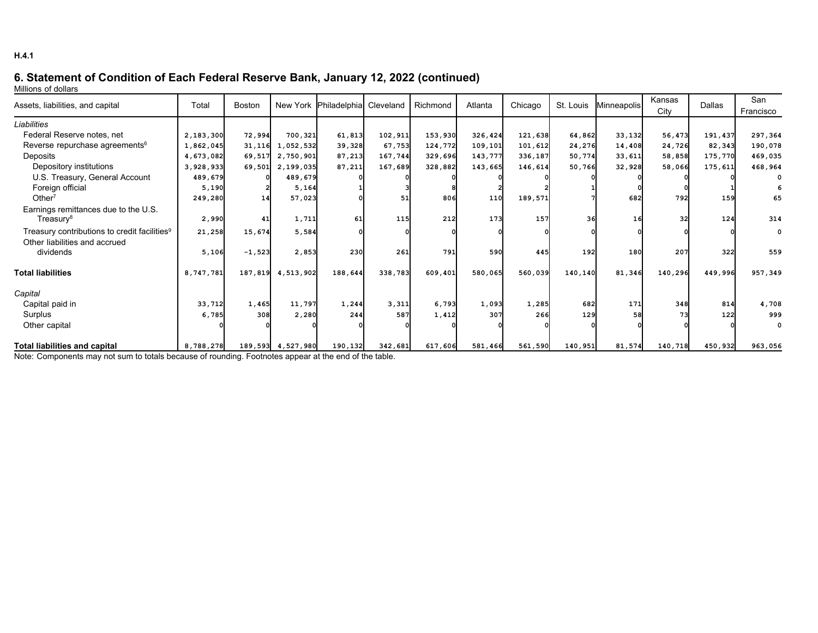## **6. Statement of Condition of Each Federal Reserve Bank, January 12, 2022 (continued)**

Millions of dollars

| Assets, liabilities, and capital                         | Total     | <b>Boston</b> |                   | New York Philadelphia Cleveland |         | Richmond | Atlanta | Chicago | St. Louis | <b>Minneapolis</b> | Kansas  | <b>Dallas</b> | San       |
|----------------------------------------------------------|-----------|---------------|-------------------|---------------------------------|---------|----------|---------|---------|-----------|--------------------|---------|---------------|-----------|
|                                                          |           |               |                   |                                 |         |          |         |         |           |                    | City    |               | Francisco |
| Liabilities                                              |           |               |                   |                                 |         |          |         |         |           |                    |         |               |           |
| Federal Reserve notes, net                               | 2,183,300 | 72,994        | 700,321           | 61,813                          | 102,911 | 153,930  | 326,424 | 121,638 | 64,862    | 33,132             | 56,473  | 191,437       | 297,364   |
| Reverse repurchase agreements <sup>6</sup>               | 1,862,045 | 31,116        | 1,052,532         | 39,328                          | 67,753  | 124,772  | 109,101 | 101,612 | 24,276    | 14,408             | 24,726  | 82,343        | 190,078   |
| Deposits                                                 | 4,673,082 | 69,517        | 2,750,901         | 87,213                          | 167,744 | 329,696  | 143,777 | 336,187 | 50,774    | 33,611             | 58,858  | 175,770       | 469,035   |
| Depository institutions                                  | 3,928,933 | 69,501        | 2,199,035         | 87,211                          | 167,689 | 328,882  | 143,665 | 146,614 | 50,766    | 32,928             | 58,066  | 175,611       | 468,964   |
| U.S. Treasury, General Account                           | 489,679   |               | 489,679           |                                 |         |          |         |         |           |                    |         |               |           |
| Foreign official                                         | 5,190     |               | 5,164             |                                 |         |          |         |         |           |                    |         |               |           |
| Other $7$                                                | 249,280   | 14            | 57,023            |                                 | 51      | 806      | 110     | 189,571 |           | 682                | 792     | 159           | 65        |
| Earnings remittances due to the U.S.                     |           |               |                   |                                 |         |          |         |         |           |                    |         |               |           |
| Treasury <sup>8</sup>                                    | 2,990     | 41            | 1,711             | 61I                             | 115     | 212      | 173     | 157     | 36        | 16                 | 32      | 124           | 314       |
| Treasury contributions to credit facilities <sup>9</sup> | 21,258    | 15,674        | 5,584             |                                 |         |          |         |         |           |                    |         |               | 0         |
| Other liabilities and accrued                            |           |               |                   |                                 |         |          |         |         |           |                    |         |               |           |
| dividends                                                | 5,106     | $-1,523$      | 2,853             | 230                             | 261     | 791      | 590     | 445     | 192       | 180                | 207     | 322           | 559       |
|                                                          |           |               |                   |                                 |         |          |         |         |           |                    |         |               |           |
| <b>Total liabilities</b>                                 | 8,747,781 | 187,819       | 4,513,902         | 188,644                         | 338,783 | 609,401  | 580,065 | 560,039 | 140,140   | 81,346             | 140,296 | 449,996       | 957,349   |
| Capital                                                  |           |               |                   |                                 |         |          |         |         |           |                    |         |               |           |
| Capital paid in                                          | 33,712    | 1,465         | 11,797            | 1,244                           | 3,311   | 6,793    | 1,093   | 1,285   | 682       | 171                | 348     | 814           | 4,708     |
| Surplus                                                  | 6,785     | 308           | 2,280             | 244                             | 587     | 1,412    | 307     | 266     | 129       | 58                 | 73      | 122           | 999       |
| Other capital                                            |           |               |                   |                                 |         |          |         |         |           |                    |         |               | $\Omega$  |
|                                                          |           |               |                   |                                 |         |          |         |         |           |                    |         |               |           |
| <b>Total liabilities and capital</b>                     | 8,788,278 |               | 189,593 4,527,980 | 190,132                         | 342,681 | 617,606  | 581,466 | 561,590 | 140,951   | 81,574             | 140,718 | 450,932       | 963,056   |

Note: Components may not sum to totals because of rounding. Footnotes appear at the end of the table.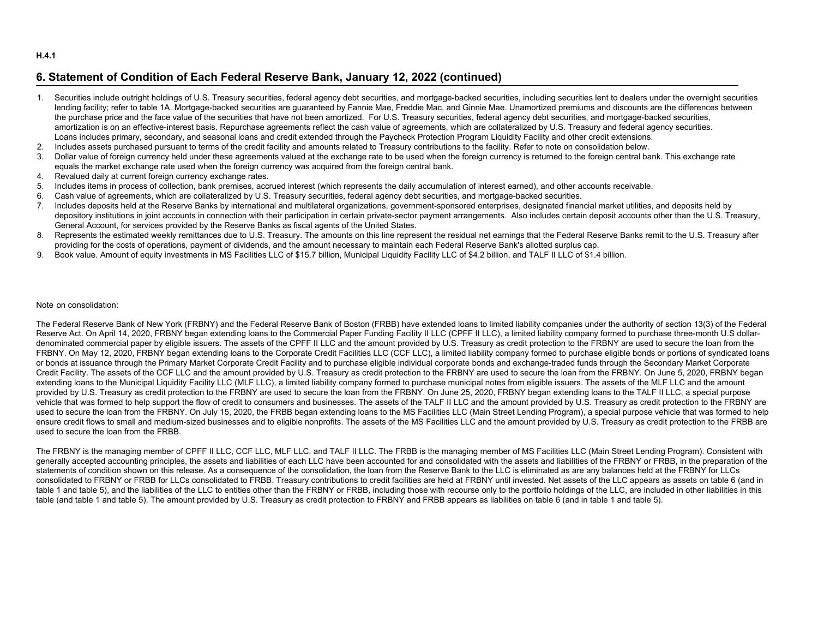**H.4.1**

#### **6. Statement of Condition of Each Federal Reserve Bank, January 12, 2022 (continued)**

- 1. Securities include outright holdings of U.S. Treasury securities, federal agency debt securities, and mortgage-backed securities, including securities lent to dealers under the overnight securities lending facility; refer to table 1A. Mortgage-backed securities are quaranteed by Fannie Mae, Freddie Mac, and Ginnie Mae. Unamortized premiums and discounts are the differences between the purchase price and the face value of the securities that have not been amortized. For U.S. Treasury securities, federal agency debt securities, and mortgage-backed securities, amortization is on an effective-interest basis. Repurchase agreements reflect the cash value of agreements, which are collateralized by U.S. Treasury and federal agency securities. Loans includes primary, secondary, and seasonal loans and credit extended through the Paycheck Protection Program Liquidity Facility and other credit extensions.
- 2. Includes assets purchased pursuant to terms of the credit facility and amounts related to Treasury contributions to the facility. Refer to note on consolidation below.
- 3. Dollar value of foreign currency held under these agreements valued at the exchange rate to be used when the foreign currency is returned to the foreign central bank. This exchange rate equals the market exchange rate used when the foreign currency was acquired from the foreign central bank.
- 4. Revalued daily at current foreign currency exchange rates.
- 5. Includes items in process of collection, bank premises, accrued interest (which represents the daily accumulation of interest earned), and other accounts receivable.
- 6. Cash value of agreements, which are collateralized by U.S. Treasury securities, federal agency debt securities, and mortgage-backed securities.
- 7. Includes deposits held at the Reserve Banks by international and multilateral organizations, government-sponsored enterprises, designated financial market utilities, and deposits held by depository institutions in joint accounts in connection with their participation in certain private-sector payment arrangements. Also includes certain deposit accounts other than the U.S. Treasury, General Account, for services provided by the Reserve Banks as fiscal agents of the United States.
- 8. Represents the estimated weekly remittances due to U.S. Treasury. The amounts on this line represent the residual net earnings that the Federal Reserve Banks remit to the U.S. Treasury after providing for the costs of operations, payment of dividends, and the amount necessary to maintain each Federal Reserve Bank's allotted surplus cap.
- 9. Book value. Amount of equity investments in MS Facilities LLC of \$15.7 billion, Municipal Liquidity Facility LLC of \$4.2 billion, and TALF II LLC of \$1.4 billion.

#### Note on consolidation:

The Federal Reserve Bank of New York (FRBNY) and the Federal Reserve Bank of Boston (FRBB) have extended loans to limited liability companies under the authority of section 13(3) of the Federal Reserve Act. On April 14, 2020, FRBNY began extending loans to the Commercial Paper Funding Facility II LLC (CPFF II LLC), a limited liability company formed to purchase three-month U.S dollardenominated commercial paper by eligible issuers. The assets of the CPFF II LLC and the amount provided by U.S. Treasury as credit protection to the FRBNY are used to secure the loan from the FRBNY. On May 12, 2020, FRBNY began extending loans to the Corporate Credit Facilities LLC (CCF LLC), a limited liability company formed to purchase eligible bonds or portions of syndicated loans or bonds at issuance through the Primary Market Corporate Credit Facility and to purchase eligible individual corporate bonds and exchange-traded funds through the Secondary Market Corporate Credit Facility. The assets of the CCF LLC and the amount provided by U.S. Treasury as credit protection to the FRBNY are used to secure the loan from the FRBNY. On June 5, 2020, FRBNY began extending loans to the Municipal Liquidity Facility LLC (MLF LLC), a limited liability company formed to purchase municipal notes from eligible issuers. The assets of the MLF LLC and the amount provided by U.S. Treasury as credit protection to the FRBNY are used to secure the loan from the FRBNY. On June 25, 2020, FRBNY began extending loans to the TALF II LLC, a special purpose vehicle that was formed to help support the flow of credit to consumers and businesses. The assets of the TALF II LLC and the amount provided by U.S. Treasury as credit protection to the FRBNY are used to secure the loan from the FRBNY. On July 15, 2020, the FRBB began extending loans to the MS Facilities LLC (Main Street Lending Program), a special purpose vehicle that was formed to help ensure credit flows to small and medium-sized businesses and to eligible nonprofits. The assets of the MS Facilities LLC and the amount provided by U.S. Treasury as credit protection to the FRBB are used to secure the loan from the FRBB.

The FRBNY is the managing member of CPFF II LLC, CCF LLC, MLF LLC, and TALF II LLC. The FRBB is the managing member of MS Facilities LLC (Main Street Lending Program). Consistent with generally accepted accounting principles, the assets and liabilities of each LLC have been accounted for and consolidated with the assets and liabilities of the FRBNY or FRBB, in the preparation of the statements of condition shown on this release. As a consequence of the consolidation, the loan from the Reserve Bank to the LLC is eliminated as are any balances held at the FRBNY for LLCs consolidated to FRBNY or FRBB for LLCs consolidated to FRBB. Treasury contributions to credit facilities are held at FRBNY until invested. Net assets of the LLC appears as assets on table 6 (and in table 1 and table 5), and the liabilities of the LLC to entities other than the FRBNY or FRBB, including those with recourse only to the portfolio holdings of the LLC, are included in other liabilities in this table (and table 1 and table 5). The amount provided by U.S. Treasury as credit protection to FRBNY and FRBB appears as liabilities on table 6 (and in table 1 and table 5).